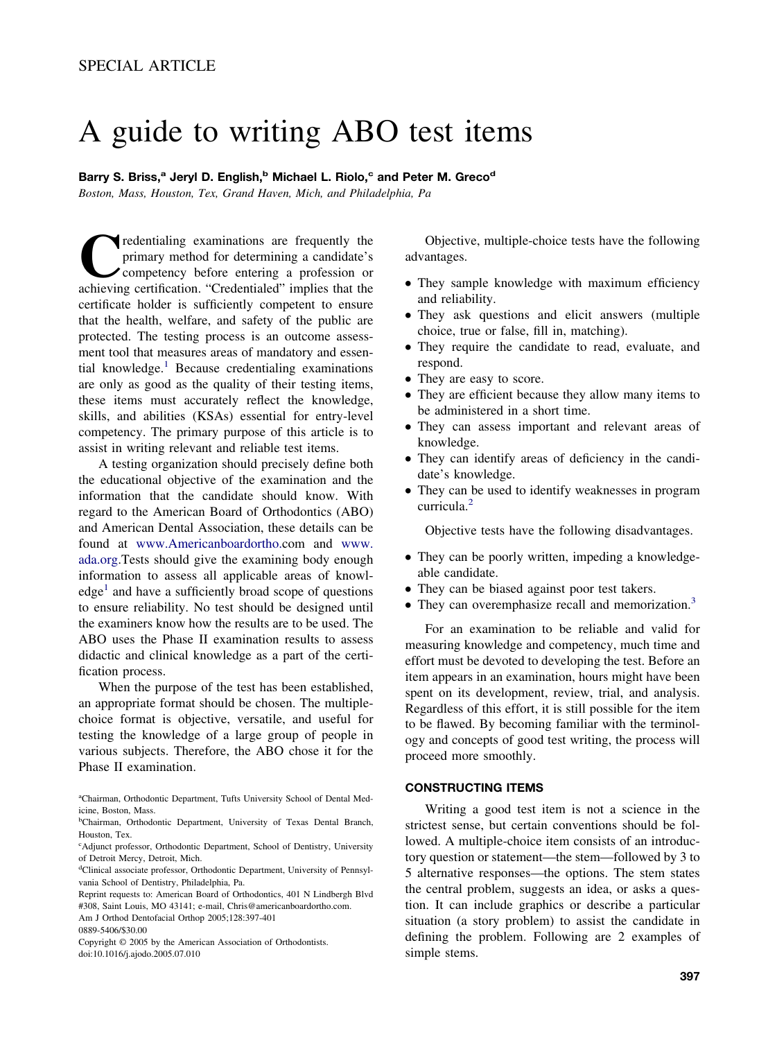# A guide to writing ABO test items

Barry S. Briss,<sup>a</sup> Jeryl D. English,<sup>b</sup> Michael L. Riolo,<sup>c</sup> and Peter M. Greco<sup>d</sup>

*Boston, Mass, Houston, Tex, Grand Haven, Mich, and Philadelphia, Pa*

redentialing examinations are frequently the<br>primary method for determining a candidate's<br>competency before entering a profession or<br>achieving certification "Credentialed" implies that the primary method for determining a candidate's competency before entering a profession or achieving certification. "Credentialed" implies that the certificate holder is sufficiently competent to ensure that the health, welfare, and safety of the public are protected. The testing process is an outcome assessment tool that measures areas of mandatory and essential knowledge. $1$  Because credentialing examinations are only as good as the quality of their testing items, these items must accurately reflect the knowledge, skills, and abilities (KSAs) essential for entry-level competency. The primary purpose of this article is to assist in writing relevant and reliable test items.

A testing organization should precisely define both the educational objective of the examination and the information that the candidate should know. With regard to the American Board of Orthodontics (ABO) and American Dental Association, these details can be found at [www.Americanboardortho.com](http://www.Americanboardortho.com) and [www.](http://www.ada.org) [ada.org.](http://www.ada.org)Tests should give the examining body enough information to assess all applicable areas of knowl $edge<sup>1</sup>$  and have a sufficiently broad scope of questions to ensure reliability. No test should be designed until the examiners know how the results are to be used. The ABO uses the Phase II examination results to assess didactic and clinical knowledge as a part of the certification process.

When the purpose of the test has been established, an appropriate format should be chosen. The multiplechoice format is objective, versatile, and useful for testing the knowledge of a large group of people in various subjects. Therefore, the ABO chose it for the Phase II examination.

Am J Orthod Dentofacial Orthop 2005;128:397-401

0889-5406/\$30.00

Copyright © 2005 by the American Association of Orthodontists. doi:10.1016/j.ajodo.2005.07.010

Objective, multiple-choice tests have the following advantages.

- They sample knowledge with maximum efficiency and reliability.
- They ask questions and elicit answers (multiple choice, true or false, fill in, matching).
- They require the candidate to read, evaluate, and respond.
- They are easy to score.
- They are efficient because they allow many items to be administered in a short time.
- They can assess important and relevant areas of knowledge.
- They can identify areas of deficiency in the candidate's knowledge.
- They can be used to identify weaknesses in program curricula.<sup>2</sup>

Objective tests have the following disadvantages.

- They can be poorly written, impeding a knowledgeable candidate.
- They can be biased against poor test takers.
- $\bullet$  They can overemphasize recall and memorization.<sup>3</sup>

For an examination to be reliable and valid for measuring knowledge and competency, much time and effort must be devoted to developing the test. Before an item appears in an examination, hours might have been spent on its development, review, trial, and analysis. Regardless of this effort, it is still possible for the item to be flawed. By becoming familiar with the terminology and concepts of good test writing, the process will proceed more smoothly.

# **CONSTRUCTING ITEMS**

Writing a good test item is not a science in the strictest sense, but certain conventions should be followed. A multiple-choice item consists of an introductory question or statement—the stem—followed by 3 to 5 alternative responses—the options. The stem states the central problem, suggests an idea, or asks a question. It can include graphics or describe a particular situation (a story problem) to assist the candidate in defining the problem. Following are 2 examples of simple stems.

<sup>&</sup>lt;sup>a</sup>Chairman, Orthodontic Department, Tufts University School of Dental Medicine, Boston, Mass.

<sup>&</sup>lt;sup>b</sup>Chairman, Orthodontic Department, University of Texas Dental Branch, Houston, Tex.

<sup>&</sup>lt;sup>c</sup>Adjunct professor, Orthodontic Department, School of Dentistry, University of Detroit Mercy, Detroit, Mich.

d Clinical associate professor, Orthodontic Department, University of Pennsylvania School of Dentistry, Philadelphia, Pa.

Reprint requests to: American Board of Orthodontics, 401 N Lindbergh Blvd #308, Saint Louis, MO 43141; e-mail, Chris@americanboardortho.com.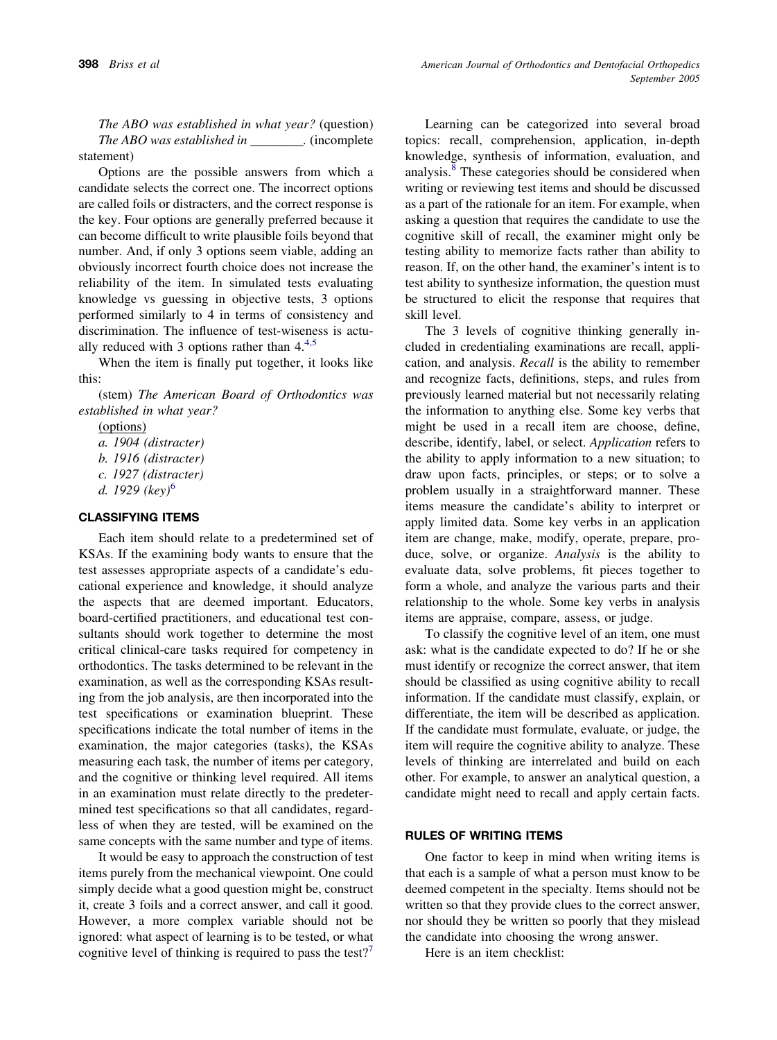*The ABO was established in what year?* (question) *The ABO was established in \_\_\_\_\_\_\_\_.* (incomplete statement)

Options are the possible answers from which a candidate selects the correct one. The incorrect options are called foils or distracters, and the correct response is the key. Four options are generally preferred because it can become difficult to write plausible foils beyond that number. And, if only 3 options seem viable, adding an obviously incorrect fourth choice does not increase the reliability of the item. In simulated tests evaluating knowledge vs guessing in objective tests, 3 options performed similarly to 4 in terms of consistency and discrimination. The influence of test-wiseness is actually reduced with 3 options rather than  $4^{4,5}$ .

When the item is finally put together, it looks like this:

(stem) *The American Board of Orthodontics was established in what year?*

(options)

*a. 1904 (distracter)*

*b. 1916 (distracter)*

*c. 1927 (distracter)*

*d. 1929 (key)*[6](#page-4-0)

# **CLASSIFYING ITEMS**

Each item should relate to a predetermined set of KSAs. If the examining body wants to ensure that the test assesses appropriate aspects of a candidate's educational experience and knowledge, it should analyze the aspects that are deemed important. Educators, board-certified practitioners, and educational test consultants should work together to determine the most critical clinical-care tasks required for competency in orthodontics. The tasks determined to be relevant in the examination, as well as the corresponding KSAs resulting from the job analysis, are then incorporated into the test specifications or examination blueprint. These specifications indicate the total number of items in the examination, the major categories (tasks), the KSAs measuring each task, the number of items per category, and the cognitive or thinking level required. All items in an examination must relate directly to the predetermined test specifications so that all candidates, regardless of when they are tested, will be examined on the same concepts with the same number and type of items.

It would be easy to approach the construction of test items purely from the mechanical viewpoint. One could simply decide what a good question might be, construct it, create 3 foils and a correct answer, and call it good. However, a more complex variable should not be ignored: what aspect of learning is to be tested, or what cognitive level of thinking is required to pass the test?<sup>7</sup>

Learning can be categorized into several broad topics: recall, comprehension, application, in-depth knowledge, synthesis of information, evaluation, and analysis[.8](#page-4-0) These categories should be considered when writing or reviewing test items and should be discussed as a part of the rationale for an item. For example, when asking a question that requires the candidate to use the cognitive skill of recall, the examiner might only be testing ability to memorize facts rather than ability to reason. If, on the other hand, the examiner's intent is to test ability to synthesize information, the question must be structured to elicit the response that requires that skill level.

The 3 levels of cognitive thinking generally included in credentialing examinations are recall, application, and analysis. *Recall* is the ability to remember and recognize facts, definitions, steps, and rules from previously learned material but not necessarily relating the information to anything else. Some key verbs that might be used in a recall item are choose, define, describe, identify, label, or select. *Application* refers to the ability to apply information to a new situation; to draw upon facts, principles, or steps; or to solve a problem usually in a straightforward manner. These items measure the candidate's ability to interpret or apply limited data. Some key verbs in an application item are change, make, modify, operate, prepare, produce, solve, or organize. *Analysis* is the ability to evaluate data, solve problems, fit pieces together to form a whole, and analyze the various parts and their relationship to the whole. Some key verbs in analysis items are appraise, compare, assess, or judge.

To classify the cognitive level of an item, one must ask: what is the candidate expected to do? If he or she must identify or recognize the correct answer, that item should be classified as using cognitive ability to recall information. If the candidate must classify, explain, or differentiate, the item will be described as application. If the candidate must formulate, evaluate, or judge, the item will require the cognitive ability to analyze. These levels of thinking are interrelated and build on each other. For example, to answer an analytical question, a candidate might need to recall and apply certain facts.

## **RULES OF WRITING ITEMS**

One factor to keep in mind when writing items is that each is a sample of what a person must know to be deemed competent in the specialty. Items should not be written so that they provide clues to the correct answer, nor should they be written so poorly that they mislead the candidate into choosing the wrong answer.

Here is an item checklist: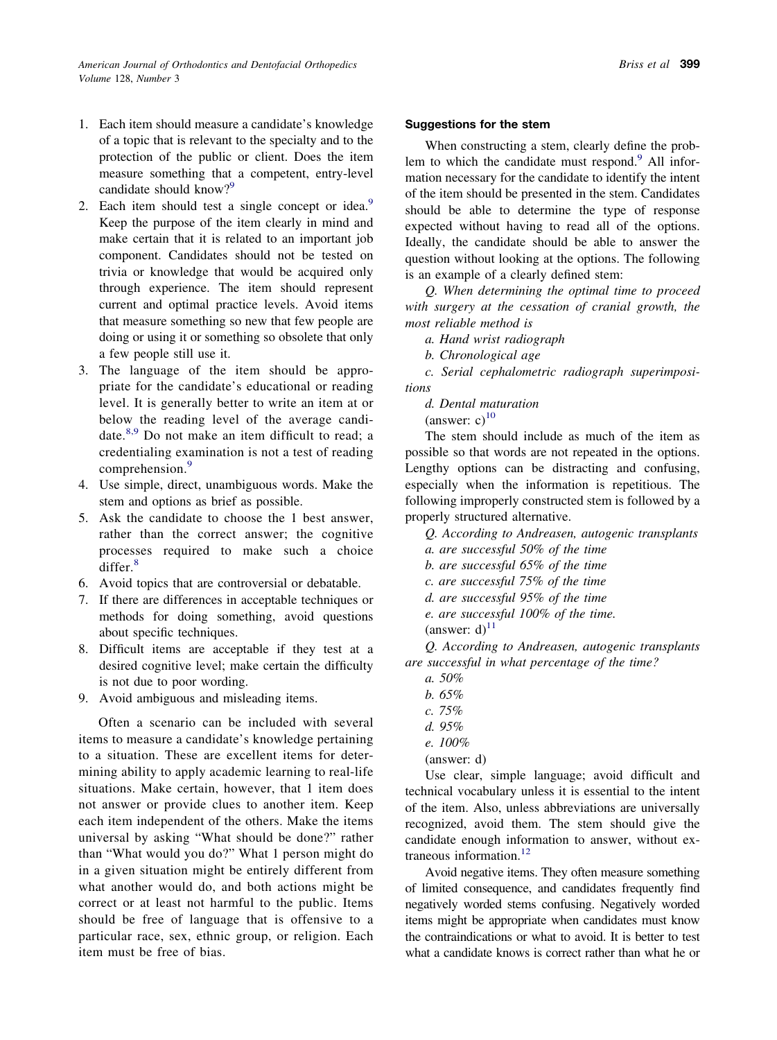- 1. Each item should measure a candidate's knowledge of a topic that is relevant to the specialty and to the protection of the public or client. Does the item measure something that a competent, entry-level candidate should know?<sup>9</sup>
- 2. Each item should test a single concept or idea.<sup>9</sup> Keep the purpose of the item clearly in mind and make certain that it is related to an important job component. Candidates should not be tested on trivia or knowledge that would be acquired only through experience. The item should represent current and optimal practice levels. Avoid items that measure something so new that few people are doing or using it or something so obsolete that only a few people still use it.
- 3. The language of the item should be appropriate for the candidate's educational or reading level. It is generally better to write an item at or below the reading level of the average candidate.[8,9](#page-4-0) Do not make an item difficult to read; a credentialing examination is not a test of reading comprehension.<sup>[9](#page-4-0)</sup>
- 4. Use simple, direct, unambiguous words. Make the stem and options as brief as possible.
- 5. Ask the candidate to choose the 1 best answer, rather than the correct answer; the cognitive processes required to make such a choice differ.<sup>[8](#page-4-0)</sup>
- 6. Avoid topics that are controversial or debatable.
- 7. If there are differences in acceptable techniques or methods for doing something, avoid questions about specific techniques.
- 8. Difficult items are acceptable if they test at a desired cognitive level; make certain the difficulty is not due to poor wording.
- 9. Avoid ambiguous and misleading items.

Often a scenario can be included with several items to measure a candidate's knowledge pertaining to a situation. These are excellent items for determining ability to apply academic learning to real-life situations. Make certain, however, that 1 item does not answer or provide clues to another item. Keep each item independent of the others. Make the items universal by asking "What should be done?" rather than "What would you do?" What 1 person might do in a given situation might be entirely different from what another would do, and both actions might be correct or at least not harmful to the public. Items should be free of language that is offensive to a particular race, sex, ethnic group, or religion. Each item must be free of bias.

#### **Suggestions for the stem**

When constructing a stem, clearly define the problem to which the candidate must respond.<sup>9</sup> All information necessary for the candidate to identify the intent of the item should be presented in the stem. Candidates should be able to determine the type of response expected without having to read all of the options. Ideally, the candidate should be able to answer the question without looking at the options. The following is an example of a clearly defined stem:

*Q. When determining the optimal time to proceed with surgery at the cessation of cranial growth, the most reliable method is*

*a. Hand wrist radiograph*

*b. Chronological age*

*c. Serial cephalometric radiograph superimpositions*

*d. Dental maturation*

(answer:  $c)^{10}$ )

The stem should include as much of the item as possible so that words are not repeated in the options. Lengthy options can be distracting and confusing, especially when the information is repetitious. The following improperly constructed stem is followed by a properly structured alternative.

*Q. According to Andreasen, autogenic transplants a. are successful 50% of the time*

- 
- *b. are successful 65% of the time c. are successful 75% of the time*
- 
- *d. are successful 95% of the time*

*e. are successful 100% of the time.*

(answer:  $d$ )<sup>11</sup>

*Q. According to Andreasen, autogenic transplants are successful in what percentage of the time?*

- *a. 50%*
- *b. 65%*
- *c. 75%*
- *d. 95%*
- *e. 100%*
- (answer: d)

Use clear, simple language; avoid difficult and technical vocabulary unless it is essential to the intent of the item. Also, unless abbreviations are universally recognized, avoid them. The stem should give the candidate enough information to answer, without extraneous information[.12](#page-4-0)

Avoid negative items. They often measure something of limited consequence, and candidates frequently find negatively worded stems confusing. Negatively worded items might be appropriate when candidates must know the contraindications or what to avoid. It is better to test what a candidate knows is correct rather than what he or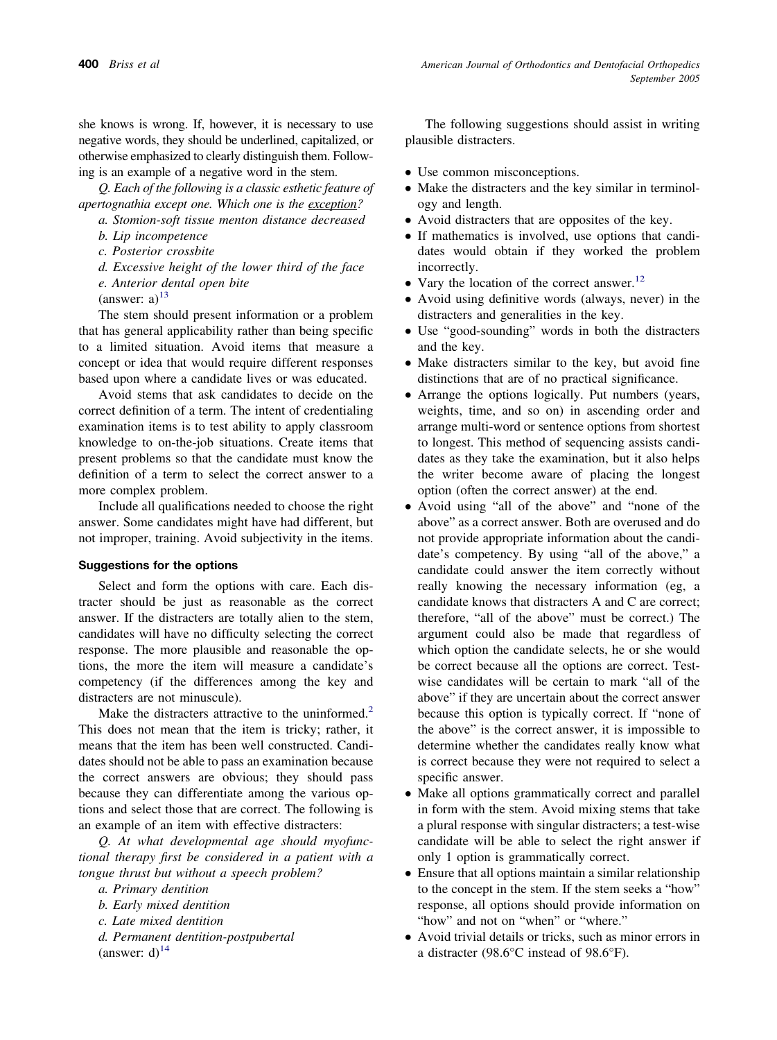she knows is wrong. If, however, it is necessary to use negative words, they should be underlined, capitalized, or otherwise emphasized to clearly distinguish them. Following is an example of a negative word in the stem.

*Q. Each of the following is a classic esthetic feature of apertognathia except one. Which one is the exception?*

*a. Stomion-soft tissue menton distance decreased*

*b. Lip incompetence*

*c. Posterior crossbite*

*d. Excessive height of the lower third of the face*

*e. Anterior dental open bite*

(answer:  $a)^{13}$ )

The stem should present information or a problem that has general applicability rather than being specific to a limited situation. Avoid items that measure a concept or idea that would require different responses based upon where a candidate lives or was educated.

Avoid stems that ask candidates to decide on the correct definition of a term. The intent of credentialing examination items is to test ability to apply classroom knowledge to on-the-job situations. Create items that present problems so that the candidate must know the definition of a term to select the correct answer to a more complex problem.

Include all qualifications needed to choose the right answer. Some candidates might have had different, but not improper, training. Avoid subjectivity in the items.

## **Suggestions for the options**

Select and form the options with care. Each distracter should be just as reasonable as the correct answer. If the distracters are totally alien to the stem, candidates will have no difficulty selecting the correct response. The more plausible and reasonable the options, the more the item will measure a candidate's competency (if the differences among the key and distracters are not minuscule).

Make the distracters attractive to the uninformed. $2$ This does not mean that the item is tricky; rather, it means that the item has been well constructed. Candidates should not be able to pass an examination because the correct answers are obvious; they should pass because they can differentiate among the various options and select those that are correct. The following is an example of an item with effective distracters:

*Q. At what developmental age should myofunctional therapy first be considered in a patient with a tongue thrust but without a speech problem?*

*a. Primary dentition*

- *b. Early mixed dentition*
- *c. Late mixed dentition*
- *d. Permanent dentition-postpubertal*

(answer:  $d$ )<sup>14</sup>

The following suggestions should assist in writing plausible distracters.

- Use common misconceptions.
- Make the distracters and the key similar in terminology and length.
- Avoid distracters that are opposites of the key.
- If mathematics is involved, use options that candidates would obtain if they worked the problem incorrectly.
- Vary the location of the correct answer.<sup>12</sup>
- Avoid using definitive words (always, never) in the distracters and generalities in the key.
- Use "good-sounding" words in both the distracters and the key.
- Make distracters similar to the key, but avoid fine distinctions that are of no practical significance.
- Arrange the options logically. Put numbers (years, weights, time, and so on) in ascending order and arrange multi-word or sentence options from shortest to longest. This method of sequencing assists candidates as they take the examination, but it also helps the writer become aware of placing the longest option (often the correct answer) at the end.
- Avoid using "all of the above" and "none of the above" as a correct answer. Both are overused and do not provide appropriate information about the candidate's competency. By using "all of the above," a candidate could answer the item correctly without really knowing the necessary information (eg, a candidate knows that distracters A and C are correct; therefore, "all of the above" must be correct.) The argument could also be made that regardless of which option the candidate selects, he or she would be correct because all the options are correct. Testwise candidates will be certain to mark "all of the above" if they are uncertain about the correct answer because this option is typically correct. If "none of the above" is the correct answer, it is impossible to determine whether the candidates really know what is correct because they were not required to select a specific answer.
- Make all options grammatically correct and parallel in form with the stem. Avoid mixing stems that take a plural response with singular distracters; a test-wise candidate will be able to select the right answer if only 1 option is grammatically correct.
- Ensure that all options maintain a similar relationship to the concept in the stem. If the stem seeks a "how" response, all options should provide information on "how" and not on "when" or "where."
- Avoid trivial details or tricks, such as minor errors in a distracter (98.6°C instead of 98.6°F).